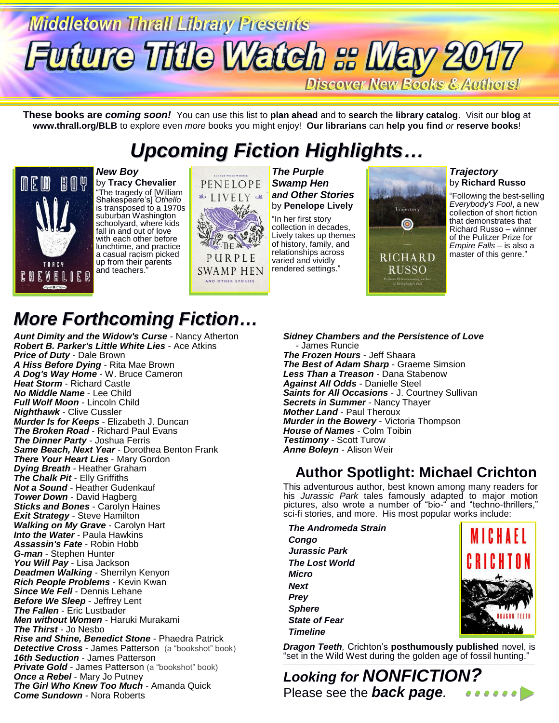# **Middletown Thrall Library Presents Future Title Watch & May 2017**

Discover New Books & Authors!

Trajectory  $\bullet$ 

**RICHARD** 

RUSSO er Prize-winning at<br>of *Everybody's Fool* 

**These books are** *coming soon!* You can use this list to **plan ahead** and to **search** the **library catalog**. Visit our **blog** at **www.thrall.org/BLB** to explore even *more* books you might enjoy! **Our librarians** can **help you find** *or* **reserve books**!

## *Upcoming Fiction Highlights…*



*New Boy* by **Tracy Chevalier** "The tragedy of [William Shakespeare's] *Othello* is transposed to a 1970s suburban Washington schoolyard, where kids fall in and out of love with each other before lunchtime, and practice a casual racism picked up from their parents and teachers."



*The Purple Swamp Hen and Other Stories* by **Penelope Lively**

"In her first story collection in decades, Lively takes up themes of history, family, and relationships across varied and vividly rendered settings."

*Trajectory*  by **Richard Russo**

"Following the best-selling *Everybody's Fool*, a new collection of short fiction that demonstrates that Richard Russo – winner of the Pulitzer Prize for *Empire Falls* – is also a master of this genre."

## *More Forthcoming Fiction…*

*Aunt Dimity and the Widow's Curse* - Nancy Atherton *Robert B. Parker's Little White Lies* - Ace Atkins *Price of Duty* - Dale Brown *A Hiss Before Dying* - Rita Mae Brown *A Dog's Way Home* - W. Bruce Cameron *Heat Storm* - Richard Castle *No Middle Name* - Lee Child *Full Wolf Moon* - Lincoln Child *Nighthawk* - Clive Cussler *Murder Is for Keeps* - Elizabeth J. Duncan *The Broken Road* - Richard Paul Evans *The Dinner Party* - Joshua Ferris *Same Beach, Next Year* - Dorothea Benton Frank *There Your Heart Lies* - Mary Gordon *Dying Breath* - Heather Graham *The Chalk Pit* - Elly Griffiths *Not a Sound* - Heather Gudenkauf *Tower Down* - David Hagberg *Sticks and Bones* - Carolyn Haines *Exit Strategy* - Steve Hamilton *Walking on My Grave* - Carolyn Hart *Into the Water* - Paula Hawkins *Assassin's Fate* - Robin Hobb *G-man* - Stephen Hunter *You Will Pay* - Lisa Jackson *Deadmen Walking* - Sherrilyn Kenyon *Rich People Problems* - Kevin Kwan *Since We Fell* - Dennis Lehane *Before We Sleep* - Jeffrey Lent *The Fallen* - Eric Lustbader *Men without Women* - Haruki Murakami *The Thirst* - Jo Nesbo *Rise and Shine, Benedict Stone* - Phaedra Patrick **Detective Cross** - James Patterson (a "bookshot" book) *16th Seduction* - James Patterson **Private Gold** - James Patterson (a "bookshot" book) *Once a Rebel* - Mary Jo Putney *The Girl Who Knew Too Much* - Amanda Quick *Come Sundown* - Nora Roberts

*Sidney Chambers and the Persistence of Love* - James Runcie *The Frozen Hours* - Jeff Shaara *The Best of Adam Sharp* - Graeme Simsion *Less Than a Treason* - Dana Stabenow *Against All Odds* - Danielle Steel *Saints for All Occasions* - J. Courtney Sullivan *Secrets in Summer* - Nancy Thayer *Mother Land* - Paul Theroux *Murder in the Bowery* - Victoria Thompson *House of Names* - Colm Toibin *Testimony* - Scott Turow *Anne Boleyn* - Alison Weir

### **Author Spotlight: Michael Crichton**

This adventurous author, best known among many readers for his *Jurassic Park* tales famously adapted to major motion pictures, also wrote a number of "bio-" and "techno-thrillers," sci-fi stories, and more. His most popular works include:

 *The Andromeda Strain Congo Jurassic Park The Lost World Micro Next Prey Sphere State of Fear Timeline*



*Dragon Teeth,* Crichton's **posthumously published** novel, is "set in the Wild West during the golden age of fossil hunting." \_\_\_\_\_\_\_\_\_\_\_\_\_\_\_\_\_\_\_\_\_\_\_\_\_\_\_\_\_\_\_\_\_\_\_\_\_\_\_\_\_\_\_\_\_\_\_\_\_\_\_\_\_\_\_\_\_\_\_\_\_\_\_\_\_\_\_\_\_\_\_\_\_\_\_\_\_\_\_\_\_\_\_\_\_\_\_\_\_\_\_\_\_\_\_\_\_\_\_

*Looking for NONFICTION?* Please see the *back page.*